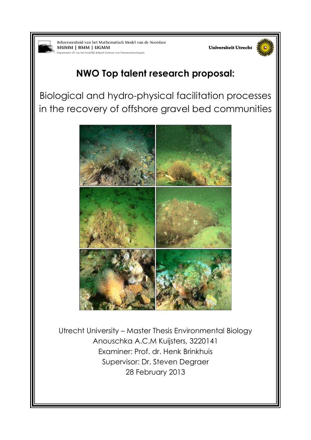

Beheerseenheid van het Mathematisch Model van de Noordzee MUMM | BMM | UGMM ninklik Belaisch In **Los Ma** atennikansen





# **NWO Top talent research proposal:**

Biological and hydro-physical facilitation processes in the recovery of offshore gravel bed communities



Utrecht University – Master Thesis Environmental Biology Anouschka A.C.M Kuijsters, 3220141 Examiner: Prof. dr. Henk Brinkhuis Supervisor: Dr. Steven Degraer 28 February 2013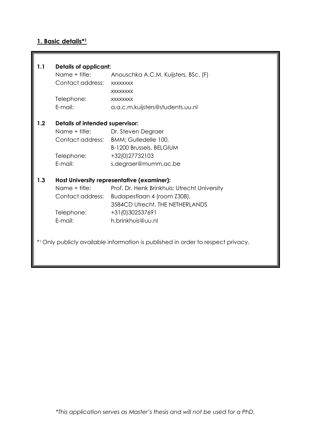# **1. Basic details\* 1**

| 1.1 | <b>Details of applicant:</b>               |                                                                                  |  |  |  |
|-----|--------------------------------------------|----------------------------------------------------------------------------------|--|--|--|
|     | Name + title:                              | Anouschka A.C.M. Kuijsters, BSc. (F)                                             |  |  |  |
|     | Contact address:                           | <b>XXXXXXXX</b>                                                                  |  |  |  |
|     |                                            | <b>XXXXXXXX</b>                                                                  |  |  |  |
|     | Telephone:                                 | <b>XXXXXXXX</b>                                                                  |  |  |  |
|     | E-mail:                                    | a.a.c.m.kuijsters@students.uu.nl                                                 |  |  |  |
| 1.2 | Details of intended supervisor:            |                                                                                  |  |  |  |
|     |                                            | Name + title: Dr. Steven Degraer                                                 |  |  |  |
|     |                                            | Contact address: BMM; Gulledelle 100,                                            |  |  |  |
|     |                                            | <b>B-1200 Brussels, BELGIUM</b>                                                  |  |  |  |
|     | Telephone:                                 | +32(0)27732103                                                                   |  |  |  |
|     | E-mail:                                    | s.degraer@mumm.ac.be                                                             |  |  |  |
| 1.3 | Host University representative (examiner): |                                                                                  |  |  |  |
|     |                                            | Name + title: Prof. Dr. Henk Brinkhuis; Utrecht University                       |  |  |  |
|     |                                            | Contact address: Budapestlaan 4 (room Z308),                                     |  |  |  |
|     |                                            | 3584CD Utrecht, THE NETHERLANDS                                                  |  |  |  |
|     | Telephone:                                 | +31(0)302537691                                                                  |  |  |  |
|     | E-mail:                                    | h.brinkhuis@uu.nl                                                                |  |  |  |
|     |                                            | *1 Only publicly available information is published in order to respect privacy. |  |  |  |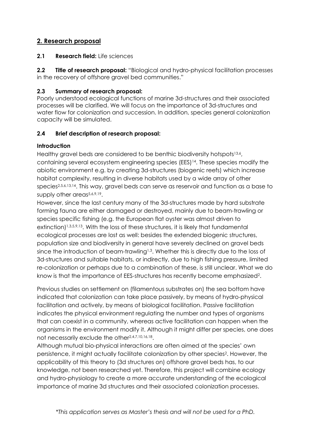# **2. Research proposal**

# **2.1 Research field:** Life sciences

**2.2 Title of research proposal:** "Biological and hydro-physical facilitation processes in the recovery of offshore gravel bed communities."

# **2.3 Summary of research proposal:**

Poorly understood ecological functions of marine 3d-structures and their associated processes will be clarified. We will focus on the importance of 3d-structures and water flow for colonization and succession. In addition, species general colonization capacity will be simulated.

# **2.4 Brief description of research proposal:**

# **Introduction**

Healthy gravel beds are considered to be benthic biodiversity hotspots<sup>13,6</sup>, containing several ecosystem engineering species (EES)14. These species modify the abiotic environment e.g. by creating 3d-structures (biogenic reefs) which increase habitat complexity, resulting in diverse habitats used by a wide array of other species2,5,6,13,14 . This way, gravel beds can serve as reservoir and function as a base to supply other areas<sup>5,6,9,19</sup>.

However, since the last century many of the 3d-structures made by hard substrate forming fauna are either damaged or destroyed, mainly due to beam-trawling or species specific fishing (e.g. the European flat oyster was almost driven to extinction)<sup>1,3,5,9,13</sup>. With the loss of these structures, it is likely that fundamental ecological processes are lost as well: besides the extended biogenic structures, population size and biodiversity in general have severely declined on gravel beds since the introduction of beam-trawling<sup>1,3</sup>. Whether this is directly due to the loss of 3d-structures and suitable habitats, or indirectly, due to high fishing pressure, limited re-colonization or perhaps due to a combination of these, is still unclear. What we do know is that the importance of EES-structures has recently become emphasized<sup>2</sup>.

Previous studies on settlement on (filamentous substrates on) the sea bottom have indicated that colonization can take place passively, by means of hydro-physical facilitation and actively, by means of biological facilitation. Passive facilitation indicates the physical environment regulating the number and types of organisms that can coexist in a community, whereas active facilitation can happen when the organisms in the environment modify it. Although it might differ per species, one does not necessarily exclude the other<sup>2,4,7,10,16,18</sup>.

Although mutual bio-physical interactions are often aimed at the species' own persistence, it might actually facilitate colonization by other species<sup>2</sup>. However, the applicability of this theory to (3d structures on) offshore gravel beds has, to our knowledge, not been researched yet. Therefore, this project will combine ecology and hydro-physiology to create a more accurate understanding of the ecological importance of marine 3d structures and their associated colonization processes.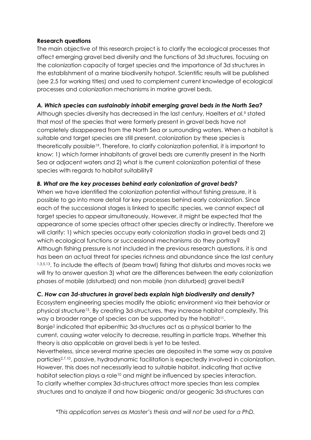#### **Research questions**

The main objective of this research project is to clarify the ecological processes that affect emerging gravel bed diversity and the functions of 3d structures, focusing on the colonization capacity of target species and the importance of 3d structures in the establishment of a marine biodiversity hotspot. Scientific results will be published (see 2.5 for working titles) and used to complement current knowledge of ecological processes and colonization mechanisms in marine gravel beds.

#### *A. Which species can sustainably inhabit emerging gravel beds in the North Sea?*

Although species diversity has decreased in the last century, Haelters *et al.<sup>9</sup>* stated that most of the species that were formerly present in gravel beds have not completely disappeared from the North Sea or surrounding waters. When a habitat is suitable and target species are still present, colonization by these species is theoretically possible<sup>19</sup>. Therefore, to clarify colonization potential, it is important to know: 1) which former inhabitants of gravel beds are currently present in the North Sea or adjacent waters and 2) what is the current colonization potential of these species with regards to habitat suitability?

# *B. What are the key processes behind early colonization of gravel beds?*

When we have identified the colonization potential without fishing pressure, it is possible to go into more detail for key processes behind early colonization. Since each of the successional stages is linked to specific species, we cannot expect all target species to appear simultaneously. However, it might be expected that the appearance of some species attract other species directly or indirectly. Therefore we will clarify: 1) which species occupy early colonization stadia in gravel beds and 2) which ecological functions or successional mechanisms do they portray? Although fishing pressure is not included in the previous research questions, it is and has been an actual threat for species richness and abundance since the last century 1,3,5,13. To include the effects of (beam trawl) fishing that disturbs and moves rocks we will try to answer question 3) what are the differences between the early colonization phases of mobile (disturbed) and non mobile (non disturbed) gravel beds?

# *C. How can 3d-structures in gravel beds explain high biodiversity and density?*

Ecosystem engineering species modify the abiotic environment via their behavior or physical structure<sup>15</sup> . By creating 3d-structures, they increase habitat complexity. This way a broader range of species can be supported by the habitat<sup>11</sup>.

Borsje<sup>2</sup> indicated that epibenthic 3d-structures act as a physical barrier to the current, causing water velocity to decrease, resulting in particle traps. Whether this theory is also applicable on gravel beds is yet to be tested.

Nevertheless, since several marine species are deposited in the same way as passive particles2,7,10, passive, hydrodynamic facilitation is expectedly involved in colonization. However, this does not necessarily lead to suitable habitat, indicating that active habitat selection plays a role<sup>10</sup> and might be influenced by species interaction. To clarify whether complex 3d-structures attract more species than less complex structures and to analyze if and how biogenic and/or geogenic 3d-structures can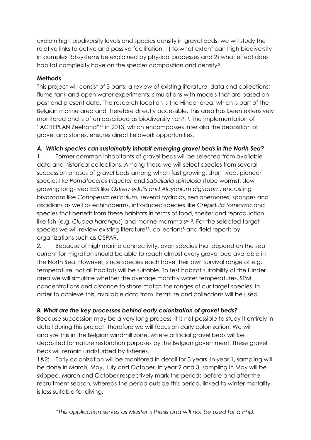explain high biodiversity levels and species density in gravel beds, we will study the relative links to active and passive facilitation: 1) to what extent can high biodiversity in complex 3d-systems be explained by physical processes and 2) what effect does habitat complexity have on the species composition and density?

#### **Methods**

This project will consist of 3 parts: a review of existing literature, data and collections; flume tank and open water experiments; simulations with models that are based on past and present data. The research location is the Hinder area, which is part of the Belgian marine area and therefore directly accessible. This area has been extensively monitored and is often described as biodiversity rich<sup>8,13</sup>. The implementation of "ACTIEPLAN Zeehond"<sup>17</sup> in 2013, which encompasses inter alia the deposition of gravel and stones, ensures direct fieldwork opportunities.

# *A. Which species can sustainably inhabit emerging gravel beds in the North Sea?*

1: Former common inhabitants of gravel beds will be selected from available data and historical collections. Among these we will select species from several succession phases of gravel beds among which fast growing, short lived, pioneer species like *Pomatoceros triqueter* and *Sabellaria spinulosa* (tube worms), slow growing long-lived EES like *Ostrea edulis and Alcyonium digitatum*, encrusting bryozoans like *Conopeum reticulum,* several hydroids, sea anemones, sponges and ascidians as well as echinoderms, introduced species like *Crepidula fornicata* and species that benefit from these habitats in terms of food, shelter and reproduction like fish (e.g. *Clupea harengus*) and marine mammals<sup>6,13</sup>. For the selected target species we will review existing literature<sup>13</sup>, collections<sup>8</sup> and field reports by organizations such as OSPAR.

*2:* Because of high marine connectivity, even species that depend on the sea current for migration should be able to reach almost every gravel bed available in the North Sea. However, since species each have their own survival range of e.g. temperature, not all habitats will be suitable. To test habitat suitability of the Hinder area we will simulate whether the average monthly water temperatures, SPM concentrations and distance to shore match the ranges of our target species. In order to achieve this, available data from literature and collections will be used.

# *B. What are the key processes behind early colonization of gravel beds?*

Because succession may be a very long process, it is not possible to study it entirely in detail during this project. Therefore we will focus on early colonization. We will analyze this in the Belgian windmill zone, where artificial gravel beds will be deposited for nature restoration purposes by the Belgian government. These gravel beds will remain undisturbed by fisheries.

1&2: Early colonization will be monitored in detail for 3 years. In year 1, sampling will be done in March, May, July and October. In year 2 and 3, sampling in May will be skipped. March and October respectively mark the periods before and after the recruitment season, whereas the period outside this period, linked to winter mortality, is less suitable for diving.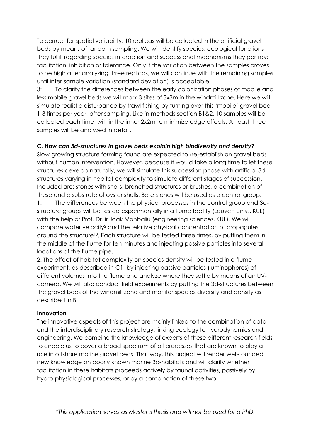To correct for spatial variability, 10 replicas will be collected in the artificial gravel beds by means of random sampling. We will identify species, ecological functions they fulfill regarding species interaction and successional mechanisms they portray: facilitation, inhibition or tolerance. Only if the variation between the samples proves to be high after analyzing three replicas, we will continue with the remaining samples until inter-sample variation (standard deviation) is acceptable.

3: To clarify the differences between the early colonization phases of mobile and less mobile gravel beds we will mark 3 sites of 3x3m in the windmill zone. Here we will simulate realistic disturbance by trawl fishing by turning over this 'mobile' gravel bed 1-3 times per year, after sampling. Like in methods section B1&2, 10 samples will be collected each time, within the inner 2x2m to minimize edge effects. At least three samples will be analyzed in detail.

# **C.** *How can 3d-structures in gravel beds explain high biodiversity and density?*

Slow-growing structure forming fauna are expected to (re)establish on gravel beds without human intervention. However, because it would take a long time to let these structures develop naturally, we will simulate this succession phase with artificial 3dstructures varying in habitat complexity to simulate different stages of succession. Included are: stones with shells, branched structures or brushes, a combination of these and a substrate of oyster shells. Bare stones will be used as a control group.

1: The differences between the physical processes in the control group and 3dstructure groups will be tested experimentally in a flume facility (Leuven Univ., KUL) with the help of Prof. Dr. ir Jaak Monbaliu (engineering sciences, KUL). We will compare water velocity<sup>2</sup> and the relative physical concentration of propagules around the structure<sup>10</sup>. Each structure will be tested three times, by putting them in the middle of the flume for ten minutes and injecting passive particles into several locations of the flume pipe.

2. The effect of habitat complexity on species density will be tested in a flume experiment, as described in C1, by injecting passive particles (luminophores) of different volumes into the flume and analyze where they settle by means of an UVcamera. We will also conduct field experiments by putting the 3d-structures between the gravel beds of the windmill zone and monitor species diversity and density as described in B.

# **Innovation**

The innovative aspects of this project are mainly linked to the combination of data and the interdisciplinary research strategy: linking ecology to hydrodynamics and engineering. We combine the knowledge of experts of these different research fields to enable us to cover a broad spectrum of all processes that are known to play a role in offshore marine gravel beds. That way, this project will render well-founded new knowledge on poorly known marine 3d-habitats and will clarify whether facilitation in these habitats proceeds actively by faunal activities, passively by hydro-physiological processes, or by a combination of these two.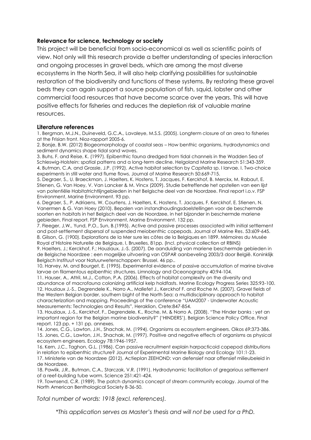#### **Relevance for science, technology or society**

This project will be beneficial from socio-economical as well as scientific points of view. Not only will this research provide a better understanding of species interaction and ongoing processes in gravel beds, which are among the most diverse ecosystems in the North Sea, it will also help clarifying possibilities for sustainable restoration of the biodiversity and functions of these systems. By restoring these gravel beds they can again support a source population of fish, squid, lobster and other commercial food resources that have become scarce over the years. This will have positive effects for fisheries and reduces the depletion risk of valuable marine resources.

#### **Literature references**

1. Bergman, M.J.N., Duineveld, G.C.A., Lavaleye, M.S.S. (2005). Longterm closure of an area to fisheries at the Frisian front. Nioz-rapport 2005-6.

2. Borsje, B.W. (2012) Biogeomorphology of coastal seas – How benthic organisms, hydrodynamics and sediment dynamics shape tidal sand waves.

3. Buhs, F. and Reise, K. (1997). Epibenthic fauna dredged from tidal channels in the Wadden Sea of Schleswig-Holstein: spatial patterns and a long-term decline. Helgoland Marine Research 51:343-359. 4. Butman, C.A. and Grassle, J.P. (1992). Active habitat selection by *Capitella* sp. I larvae. I. Two-choice experiments in still water and flume flows. Journal of Marine Research 50:669-715.

5. Degraer, S., U. Braeckman, J. Haelters, K. Hostens, T. Jacques, F. Kerckhof, B. Merckx, M. Rabaut, E. Stienen, G. Van Hoey, V. Van Lancker & M. Vincx (2009). Studie betreffende het opstellen van een lijst van potentiële Habitatrichtlijngebieden in het Belgische deel van de Noordzee. Final report i.o.v. FSP Environment, Marine Environment. 93 pp.

6. Degraer, S., P. Adriaens, W. Courtens, J. Haelters, K. Hostens, T. Jacques, F. Kerckhof, E. Stienen, N. Vanermen & G. Van Hoey (2010). Bepalen van instandhoudingsdoelstellingen voor de beschermde soorten en habitats in het Belgisch deel van de Noordzee, in het bijzonder in beschermde mariene gebieden. Final report. FSP Environment, Marine Environment. 132 pp.

7. Fleeger, J.W., Yund, P.O., Sun, B.(1995). Active and passive processes associated with initial settlement and post-settlement dispersal of suspended meiobenthic copepods. Journal of Marine Res. 53:609-645. 8. Gilson, G. (1900). Explorations de la Mer sure les côtes de la Belgiques en 1899. Mémoires du Musée Royal d'Histoire Naturelle de Belgique, I, Bruxelles, 81pp. (Incl. physical collection at RBINS)

9. Haelters, J.; Kerckhof, F.; Houziaux, J.-S. (2007). De aanduiding van mariene beschermde gebieden in de Belgische Noordzee : een mogelijke uitvoering van OSPAR aanbeveling 2003/3 door België. Koninklijk Belgisch Instituut voor Natuurwetenschappen: Brussel. 46 pp..

10. Harvey, M. and Bourget, E. (1995). Experimental evidence of passive accumulation of marine bivalve larvae on filamentous epibenthic structures. Limnology and Oceonography 40:94-104.

11. Hauser, A., Attril, M.J., Cotton, P.A. (2006). Effects of habitat complexity on the diversity and abundance of macrofauna colonizing artificial kelp holdfasts. Marine Ecology Progress Series 325:93-100. 12. Houziaux J.-S., Degrendele K., Norro A., Mallefet J., Kerckhof F. and Roche M. (2007). Gravel fields of the Western Belgian border, southern bight of the North Sea: a multidisciplinary approach to habitat characterization and mapping. Proceedings of the conference "UAM2007 - Underwater Acoustic Measurements: Technologies and Results", Heraklion, Crete:847-854.

13. Houziaux, J.-S., Kerckhof, F., Degrendele, K., Roche, M. & Norro A. (2008). "The Hinder banks : yet an important region for the Belgian marine biodiversity?" ('HINDERS'). Belgian Science Policy Office, Final report. 123 pp. + 131 pp. annexes.

14. Jones, C.G., Lawton, J.H., Shachak, M. (1994). Organisms as ecosystem engineers. Oikos 69:373-386. 15. Jones, C.G., Lawton, J.H., Shachak, M. (1997). Positive and negative effects of organisms as physical ecosystem engineers. Ecology 78:1946-1957.

16. Kern, J.C., Taghon, G.L. (1986). Can passive recruitment explain harpacticoid copepod distributions in relation to epibenthic structure? Journal of Experimental Marine Biology and Ecology 101:1-23.

17. Ministerie van de Noordzee (2012). Actieplan ZEEHOND: van defensief naar offensief milieubeleid in de Noordzee.

18. Pawlik, J.R., Butman, C.A., Starczak, V.R. (1991). Hydrodynamic facilitation of gregarious settlement of a reef-building tube worm. Science 251:421-424.

19. Townsend, C.R. (1989). The patch dynamics concept of stream community ecology. Journal of the North American Benthological Society 8-36-50.

*Total number of words: 1918 (excl. references).*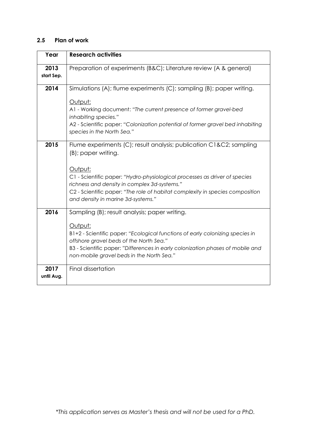# **2.5 Plan of work**

| Year               | <b>Research activities</b>                                                                                                                                                                                                                                                                                                                                |  |  |  |
|--------------------|-----------------------------------------------------------------------------------------------------------------------------------------------------------------------------------------------------------------------------------------------------------------------------------------------------------------------------------------------------------|--|--|--|
| 2013<br>start Sep. | Preparation of experiments (B&C); Literature review (A & general)                                                                                                                                                                                                                                                                                         |  |  |  |
| 2014               | Simulations (A); flume experiments (C); sampling (B); paper writing.                                                                                                                                                                                                                                                                                      |  |  |  |
|                    | Output:<br>A1 - Working document: "The current presence of former gravel-bed<br>inhabiting species."<br>A2 - Scientific paper: "Colonization potential of former gravel bed inhabiting<br>species in the North Sea."                                                                                                                                      |  |  |  |
|                    |                                                                                                                                                                                                                                                                                                                                                           |  |  |  |
| 2015               | Flume experiments (C); result analysis; publication C1&C2 sampling<br>(B); paper writing.<br>Output:<br>C1 - Scientific paper: "Hydro-physiological processes as driver of species<br>richness and density in complex 3d-systems."<br>C2 - Scientific paper: "The role of habitat complexity in species composition<br>and density in marine 3d-systems." |  |  |  |
|                    |                                                                                                                                                                                                                                                                                                                                                           |  |  |  |
| 2016               | Sampling (B); result analysis; paper writing.<br>Output:<br>B1+2 - Scientific paper: "Ecological functions of early colonizing species in<br>offshore gravel beds of the North Sea."<br>B3 - Scientific paper: "Differences in early colonization phases of mobile and<br>non-mobile gravel beds in the North Sea."                                       |  |  |  |
| 2017<br>until Aug. | Final dissertation                                                                                                                                                                                                                                                                                                                                        |  |  |  |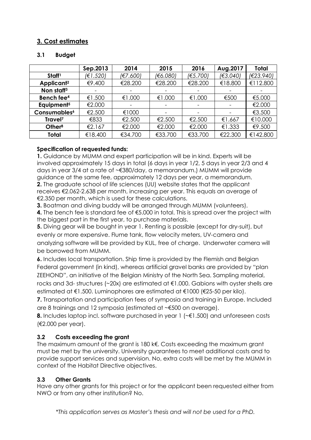# **3. Cost estimates**

#### **3.1 Budget**

|                          | Sep.2013 | 2014     | 2015                     | 2016     | Aug.2017                 | <b>Total</b> |
|--------------------------|----------|----------|--------------------------|----------|--------------------------|--------------|
| Staff <sup>1</sup>       | (€1.520) | (€7.600) | (€6.080)                 | (E5.700) | (€3.040)                 | (E23.940)    |
| Applicant <sup>2</sup>   | €9.400   | €28.200  | €28.200                  | €28.200  | €18.800                  | €112.800     |
| Non staff <sup>3</sup>   |          |          | $\overline{\phantom{0}}$ |          | $\overline{\phantom{a}}$ |              |
| Bench fee <sup>4</sup>   | €1.500   | €1.000   | €1.000                   | €1.000   | €500                     | €5.000       |
| Equipment <sup>5</sup>   | €2.000   |          |                          |          | $\overline{\phantom{a}}$ | €2.000       |
| Consumables <sup>6</sup> | €2.500   | €1000    |                          |          |                          | €3.500       |
| Travel <sup>7</sup>      | €833     | €2.500   | €2.500                   | €2.500   | €1.667                   | €10.000      |
| Other <sup>8</sup>       | €2.167   | €2.000   | €2.000                   | €2.000   | €1.333                   | €9.500       |
| Total                    | €18.400  | €34.700  | €33.700                  | €33.700  | €22.300                  | €142.800     |

# **Specification of requested funds:**

**1.** Guidance by MUMM and expert participation will be in kind. Experts will be involved approximately 15 days in total (6 days in year 1/2, 5 days in year 2/3 and 4 days in year 3/4 at a rate of ~€380/day, a memorandum.) MUMM will provide guidance at the same fee, approximately 12 days per year, a memorandum. **2.** The graduate school of life sciences (UU) website states that the applicant receives €2.062-2.638 per month, increasing per year. This equals an average of €2.350 per month, which is used for these calculations.

**3.** Boatman and diving buddy will be arranged through MUMM (volunteers).

**4.** The bench fee is standard fee of €5.000 in total. This is spread over the project with the biggest part in the first year, to purchase materials.

**5.** Diving gear will be bought in year 1. Renting is possible (except for dry-suit), but evenly or more expensive. Flume tank, flow velocity meters, UV-camera and analyzing software will be provided by KUL, free of charge. Underwater camera will be borrowed from MUMM.

**6.** Includes local transportation. Ship time is provided by the Flemish and Belgian Federal government (in kind), whereas artificial gravel banks are provided by "plan ZEEHOND", an initiative of the Belgian Ministry of the North Sea. Sampling material, rocks and 3d- structures (~20x) are estimated at €1.000. Gabions with oyster shells are estimated at €1.500. Luminophores are estimated at €1000 (€25-50 per kilo).

**7.** Transportation and participation fees of symposia and training in Europe. Included are 8 trainings and 12 symposia (estimated at ~€500 on average).

**8.** Includes laptop incl. software purchased in year 1 (∼€1.500) and unforeseen costs (€2.000 per year).

# **3.2 Costs exceeding the grant**

The maximum amount of the grant is 180 k€. Costs exceeding the maximum grant must be met by the university. University guarantees to meet additional costs and to provide support services and supervision. No, extra costs will be met by the MUMM in context of the Habitat Directive objectives.

# **3.3 Other Grants**

Have any other grants for this project or for the applicant been requested either from NWO or from any other institution? No.